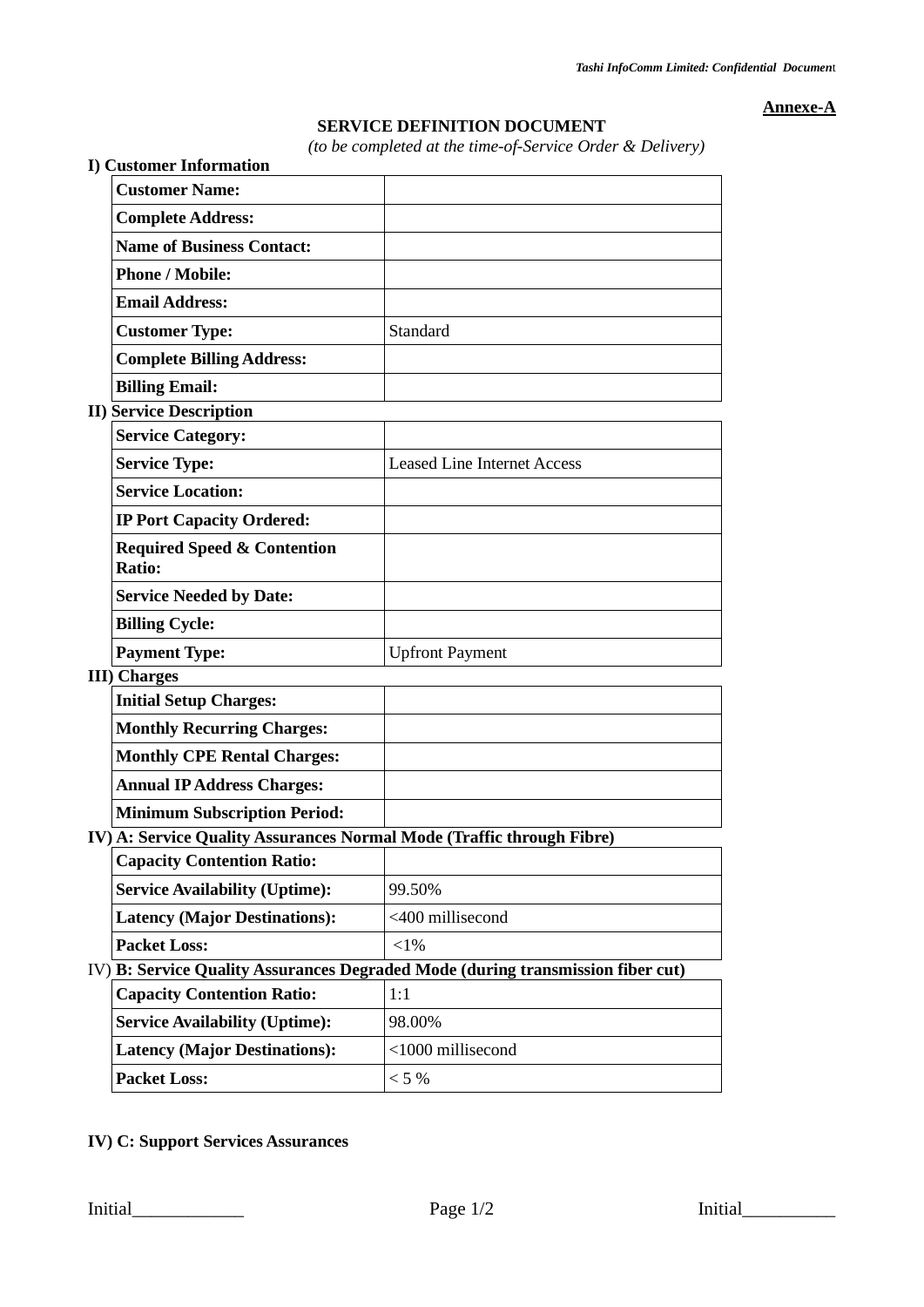**Annexe-A**

## **SERVICE DEFINITION DOCUMENT**

*(to be completed at the time-of-Service Order & Delivery)*

| <b>I) Customer Information</b>                                        | (to be completed at the time-of-Service Order & Delivery)                       |
|-----------------------------------------------------------------------|---------------------------------------------------------------------------------|
| <b>Customer Name:</b>                                                 |                                                                                 |
| <b>Complete Address:</b>                                              |                                                                                 |
| <b>Name of Business Contact:</b>                                      |                                                                                 |
| <b>Phone / Mobile:</b>                                                |                                                                                 |
| <b>Email Address:</b>                                                 |                                                                                 |
| <b>Customer Type:</b>                                                 | Standard                                                                        |
| <b>Complete Billing Address:</b>                                      |                                                                                 |
| <b>Billing Email:</b>                                                 |                                                                                 |
| <b>II) Service Description</b>                                        |                                                                                 |
| <b>Service Category:</b>                                              |                                                                                 |
| <b>Service Type:</b>                                                  | <b>Leased Line Internet Access</b>                                              |
| <b>Service Location:</b>                                              |                                                                                 |
| <b>IP Port Capacity Ordered:</b>                                      |                                                                                 |
| <b>Required Speed &amp; Contention</b><br>Ratio:                      |                                                                                 |
| <b>Service Needed by Date:</b>                                        |                                                                                 |
| <b>Billing Cycle:</b>                                                 |                                                                                 |
| <b>Payment Type:</b>                                                  | <b>Upfront Payment</b>                                                          |
| <b>III</b> ) Charges                                                  |                                                                                 |
| <b>Initial Setup Charges:</b>                                         |                                                                                 |
| <b>Monthly Recurring Charges:</b>                                     |                                                                                 |
| <b>Monthly CPE Rental Charges:</b>                                    |                                                                                 |
| <b>Annual IP Address Charges:</b>                                     |                                                                                 |
| <b>Minimum Subscription Period:</b>                                   |                                                                                 |
| IV) A: Service Quality Assurances Normal Mode (Traffic through Fibre) |                                                                                 |
| <b>Capacity Contention Ratio:</b>                                     |                                                                                 |
| <b>Service Availability (Uptime):</b>                                 | 99.50%                                                                          |
| <b>Latency (Major Destinations):</b>                                  | <400 millisecond                                                                |
| <b>Packet Loss:</b>                                                   | $<$ 1%                                                                          |
|                                                                       | IV) B: Service Quality Assurances Degraded Mode (during transmission fiber cut) |
| <b>Capacity Contention Ratio:</b>                                     | 1:1                                                                             |
| <b>Service Availability (Uptime):</b>                                 | 98.00%                                                                          |
| <b>Latency (Major Destinations):</b>                                  | <1000 millisecond                                                               |
| <b>Packet Loss:</b>                                                   | $< 5 \%$                                                                        |

**IV) C: Support Services Assurances**